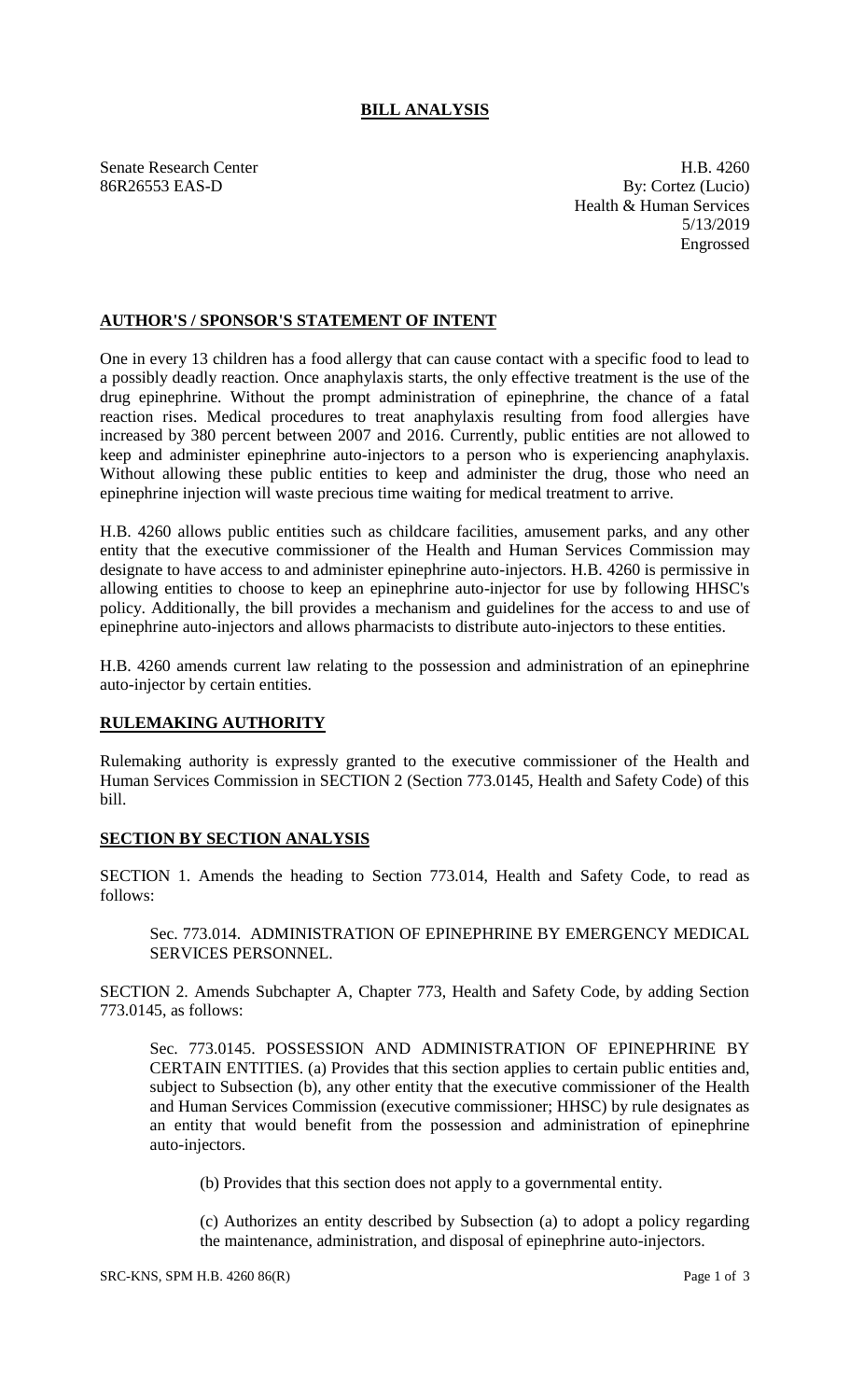## **BILL ANALYSIS**

Senate Research Center **H.B.** 4260 86R26553 EAS-D By: Cortez (Lucio) Health & Human Services 5/13/2019 Engrossed

## **AUTHOR'S / SPONSOR'S STATEMENT OF INTENT**

One in every 13 children has a food allergy that can cause contact with a specific food to lead to a possibly deadly reaction. Once anaphylaxis starts, the only effective treatment is the use of the drug epinephrine. Without the prompt administration of epinephrine, the chance of a fatal reaction rises. Medical procedures to treat anaphylaxis resulting from food allergies have increased by 380 percent between 2007 and 2016. Currently, public entities are not allowed to keep and administer epinephrine auto-injectors to a person who is experiencing anaphylaxis. Without allowing these public entities to keep and administer the drug, those who need an epinephrine injection will waste precious time waiting for medical treatment to arrive.

H.B. 4260 allows public entities such as childcare facilities, amusement parks, and any other entity that the executive commissioner of the Health and Human Services Commission may designate to have access to and administer epinephrine auto-injectors. H.B. 4260 is permissive in allowing entities to choose to keep an epinephrine auto-injector for use by following HHSC's policy. Additionally, the bill provides a mechanism and guidelines for the access to and use of epinephrine auto-injectors and allows pharmacists to distribute auto-injectors to these entities.

H.B. 4260 amends current law relating to the possession and administration of an epinephrine auto-injector by certain entities.

## **RULEMAKING AUTHORITY**

Rulemaking authority is expressly granted to the executive commissioner of the Health and Human Services Commission in SECTION 2 (Section 773.0145, Health and Safety Code) of this bill.

## **SECTION BY SECTION ANALYSIS**

SECTION 1. Amends the heading to Section 773.014, Health and Safety Code, to read as follows:

Sec. 773.014. ADMINISTRATION OF EPINEPHRINE BY EMERGENCY MEDICAL SERVICES PERSONNEL.

SECTION 2. Amends Subchapter A, Chapter 773, Health and Safety Code, by adding Section 773.0145, as follows:

Sec. 773.0145. POSSESSION AND ADMINISTRATION OF EPINEPHRINE BY CERTAIN ENTITIES. (a) Provides that this section applies to certain public entities and, subject to Subsection (b), any other entity that the executive commissioner of the Health and Human Services Commission (executive commissioner; HHSC) by rule designates as an entity that would benefit from the possession and administration of epinephrine auto-injectors.

(b) Provides that this section does not apply to a governmental entity.

(c) Authorizes an entity described by Subsection (a) to adopt a policy regarding the maintenance, administration, and disposal of epinephrine auto-injectors.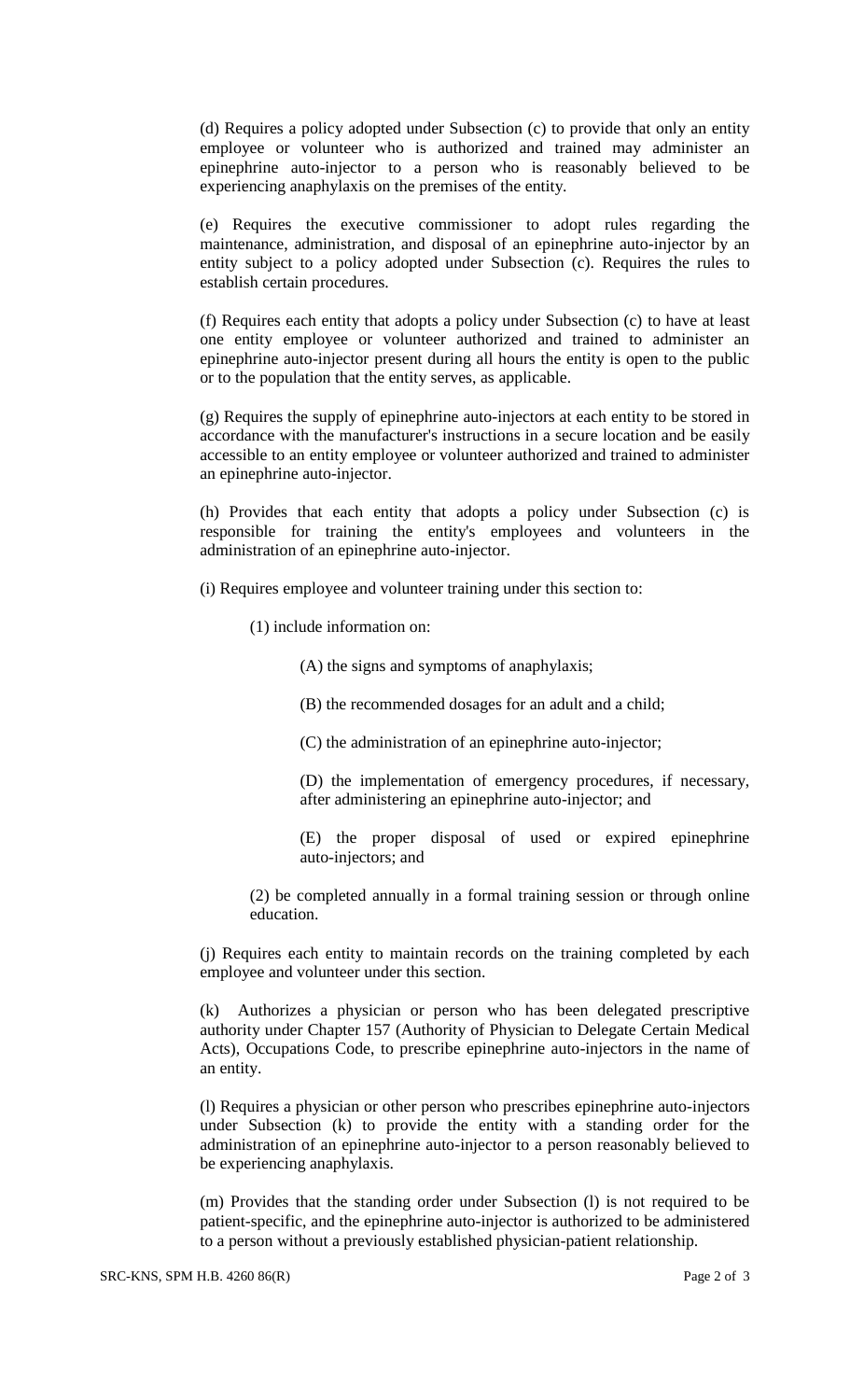(d) Requires a policy adopted under Subsection (c) to provide that only an entity employee or volunteer who is authorized and trained may administer an epinephrine auto-injector to a person who is reasonably believed to be experiencing anaphylaxis on the premises of the entity.

(e) Requires the executive commissioner to adopt rules regarding the maintenance, administration, and disposal of an epinephrine auto-injector by an entity subject to a policy adopted under Subsection (c). Requires the rules to establish certain procedures.

(f) Requires each entity that adopts a policy under Subsection (c) to have at least one entity employee or volunteer authorized and trained to administer an epinephrine auto-injector present during all hours the entity is open to the public or to the population that the entity serves, as applicable.

(g) Requires the supply of epinephrine auto-injectors at each entity to be stored in accordance with the manufacturer's instructions in a secure location and be easily accessible to an entity employee or volunteer authorized and trained to administer an epinephrine auto-injector.

(h) Provides that each entity that adopts a policy under Subsection (c) is responsible for training the entity's employees and volunteers in the administration of an epinephrine auto-injector.

(i) Requires employee and volunteer training under this section to:

(1) include information on:

(A) the signs and symptoms of anaphylaxis;

(B) the recommended dosages for an adult and a child;

(C) the administration of an epinephrine auto-injector;

(D) the implementation of emergency procedures, if necessary, after administering an epinephrine auto-injector; and

(E) the proper disposal of used or expired epinephrine auto-injectors; and

(2) be completed annually in a formal training session or through online education.

(j) Requires each entity to maintain records on the training completed by each employee and volunteer under this section.

(k) Authorizes a physician or person who has been delegated prescriptive authority under Chapter 157 (Authority of Physician to Delegate Certain Medical Acts), Occupations Code, to prescribe epinephrine auto-injectors in the name of an entity.

(l) Requires a physician or other person who prescribes epinephrine auto-injectors under Subsection (k) to provide the entity with a standing order for the administration of an epinephrine auto-injector to a person reasonably believed to be experiencing anaphylaxis.

(m) Provides that the standing order under Subsection (l) is not required to be patient-specific, and the epinephrine auto-injector is authorized to be administered to a person without a previously established physician-patient relationship.